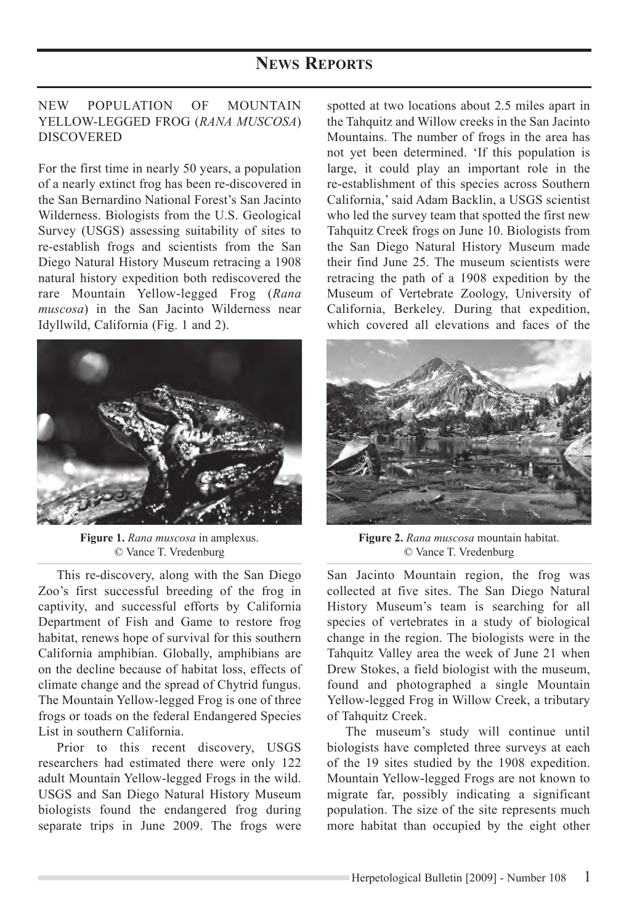## New Population OF Mountain Yellow-Legged Frog (*Rana muscosa*) **DISCOVERED**

For the first time in nearly 50 years, a population of a nearly extinct frog has been re-discovered in the San Bernardino National Forest's San Jacinto Wilderness. Biologists from the U.S. Geological Survey (USGS) assessing suitability of sites to re-establish frogs and scientists from the San Diego Natural History Museum retracing a 1908 natural history expedition both rediscovered the rare Mountain Yellow-legged Frog (*Rana muscosa*) in the San Jacinto Wilderness near Idyllwild, California (Fig. 1 and 2).



**Figure 1.** *Rana muscosa* in amplexus. © Vance T. Vredenburg

This re-discovery, along with the San Diego Zoo's first successful breeding of the frog in captivity, and successful efforts by California Department of Fish and Game to restore frog habitat, renews hope of survival for this southern California amphibian. Globally, amphibians are on the decline because of habitat loss, effects of climate change and the spread of Chytrid fungus. The Mountain Yellow-legged Frog is one of three frogs or toads on the federal Endangered Species List in southern California.

Prior to this recent discovery, USGS researchers had estimated there were only 122 adult Mountain Yellow-legged Frogs in the wild. USGS and San Diego Natural History Museum biologists found the endangered frog during separate trips in June 2009. The frogs were

spotted at two locations about 2.5 miles apart in the Tahquitz and Willow creeks in the San Jacinto Mountains. The number of frogs in the area has not yet been determined. 'If this population is large, it could play an important role in the re-establishment of this species across Southern California,' said Adam Backlin, a USGS scientist who led the survey team that spotted the first new Tahquitz Creek frogs on June 10. Biologists from the San Diego Natural History Museum made their find June 25. The museum scientists were retracing the path of a 1908 expedition by the Museum of Vertebrate Zoology, University of California, Berkeley. During that expedition, which covered all elevations and faces of the



**Figure 2.** *Rana muscosa* mountain habitat. © Vance T. Vredenburg

San Jacinto Mountain region, the frog was collected at five sites. The San Diego Natural History Museum's team is searching for all species of vertebrates in a study of biological change in the region. The biologists were in the Tahquitz Valley area the week of June 21 when Drew Stokes, a field biologist with the museum, found and photographed a single Mountain Yellow-legged Frog in Willow Creek, a tributary of Tahquitz Creek.

The museum's study will continue until biologists have completed three surveys at each of the 19 sites studied by the 1908 expedition. Mountain Yellow-legged Frogs are not known to migrate far, possibly indicating a significant population. The size of the site represents much more habitat than occupied by the eight other